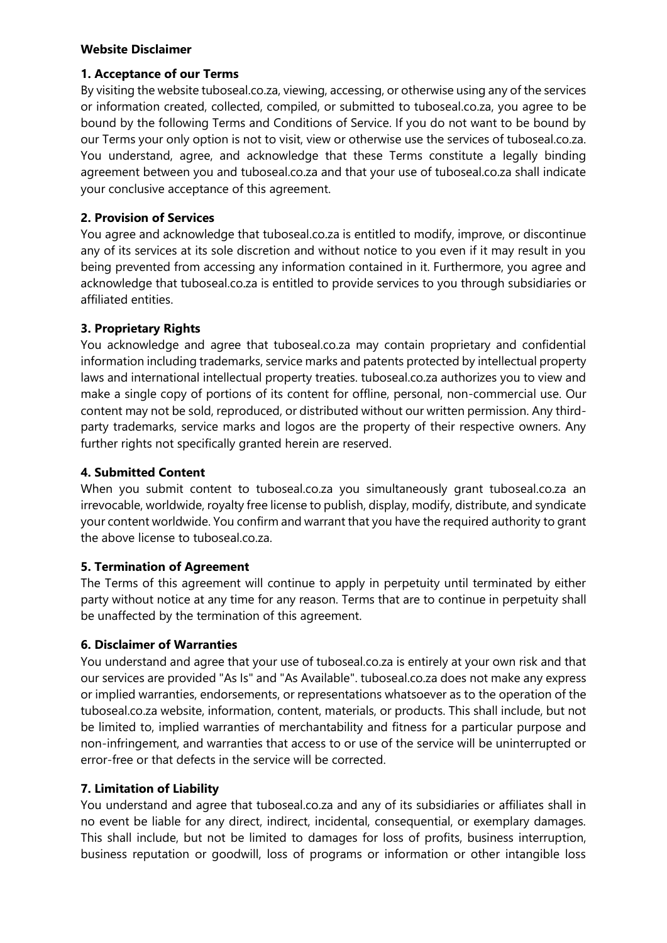#### **Website Disclaimer**

#### **1. Acceptance of our Terms**

By visiting the website tuboseal.co.za, viewing, accessing, or otherwise using any of the services or information created, collected, compiled, or submitted to tuboseal.co.za, you agree to be bound by the following Terms and Conditions of Service. If you do not want to be bound by our Terms your only option is not to visit, view or otherwise use the services of tuboseal.co.za. You understand, agree, and acknowledge that these Terms constitute a legally binding agreement between you and tuboseal.co.za and that your use of tuboseal.co.za shall indicate your conclusive acceptance of this agreement.

### **2. Provision of Services**

You agree and acknowledge that tuboseal.co.za is entitled to modify, improve, or discontinue any of its services at its sole discretion and without notice to you even if it may result in you being prevented from accessing any information contained in it. Furthermore, you agree and acknowledge that tuboseal.co.za is entitled to provide services to you through subsidiaries or affiliated entities.

# **3. Proprietary Rights**

You acknowledge and agree that tuboseal.co.za may contain proprietary and confidential information including trademarks, service marks and patents protected by intellectual property laws and international intellectual property treaties. tuboseal.co.za authorizes you to view and make a single copy of portions of its content for offline, personal, non-commercial use. Our content may not be sold, reproduced, or distributed without our written permission. Any thirdparty trademarks, service marks and logos are the property of their respective owners. Any further rights not specifically granted herein are reserved.

### **4. Submitted Content**

When you submit content to tuboseal.co.za you simultaneously grant tuboseal.co.za an irrevocable, worldwide, royalty free license to publish, display, modify, distribute, and syndicate your content worldwide. You confirm and warrant that you have the required authority to grant the above license to tuboseal.co.za.

### **5. Termination of Agreement**

The Terms of this agreement will continue to apply in perpetuity until terminated by either party without notice at any time for any reason. Terms that are to continue in perpetuity shall be unaffected by the termination of this agreement.

### **6. Disclaimer of Warranties**

You understand and agree that your use of tuboseal.co.za is entirely at your own risk and that our services are provided "As Is" and "As Available". tuboseal.co.za does not make any express or implied warranties, endorsements, or representations whatsoever as to the operation of the tuboseal.co.za website, information, content, materials, or products. This shall include, but not be limited to, implied warranties of merchantability and fitness for a particular purpose and non-infringement, and warranties that access to or use of the service will be uninterrupted or error-free or that defects in the service will be corrected.

### **7. Limitation of Liability**

You understand and agree that tuboseal.co.za and any of its subsidiaries or affiliates shall in no event be liable for any direct, indirect, incidental, consequential, or exemplary damages. This shall include, but not be limited to damages for loss of profits, business interruption, business reputation or goodwill, loss of programs or information or other intangible loss